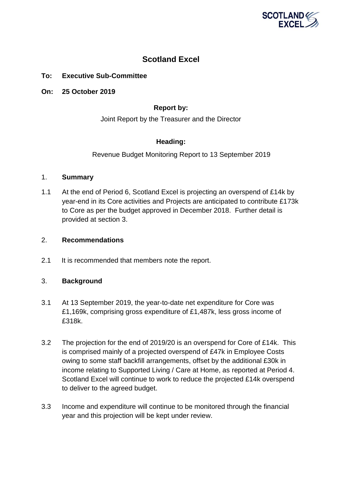

# **Scotland Excel**

# **To: Executive Sub-Committee**

**On: 25 October 2019**

# **Report by:**

Joint Report by the Treasurer and the Director

# **Heading:**

Revenue Budget Monitoring Report to 13 September 2019

### 1. **Summary**

1.1 At the end of Period 6, Scotland Excel is projecting an overspend of £14k by year-end in its Core activities and Projects are anticipated to contribute £173k to Core as per the budget approved in December 2018. Further detail is provided at section 3.

### 2. **Recommendations**

2.1 It is recommended that members note the report.

# 3. **Background**

- 3.1 At 13 September 2019, the year-to-date net expenditure for Core was £1,169k, comprising gross expenditure of £1,487k, less gross income of £318k.
- 3.2 The projection for the end of 2019/20 is an overspend for Core of £14k. This is comprised mainly of a projected overspend of £47k in Employee Costs owing to some staff backfill arrangements, offset by the additional £30k in income relating to Supported Living / Care at Home, as reported at Period 4. Scotland Excel will continue to work to reduce the projected £14k overspend to deliver to the agreed budget.
- 3.3 Income and expenditure will continue to be monitored through the financial year and this projection will be kept under review.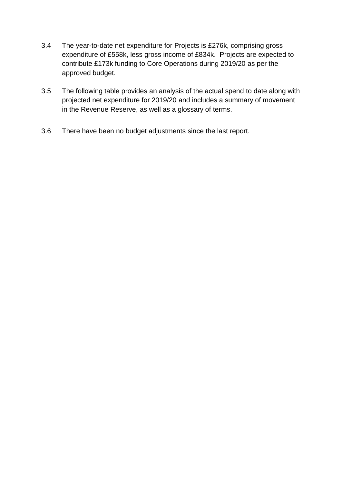- 3.4 The year-to-date net expenditure for Projects is £276k, comprising gross expenditure of £558k, less gross income of £834k. Projects are expected to contribute £173k funding to Core Operations during 2019/20 as per the approved budget.
- 3.5 The following table provides an analysis of the actual spend to date along with projected net expenditure for 2019/20 and includes a summary of movement in the Revenue Reserve, as well as a glossary of terms.
- 3.6 There have been no budget adjustments since the last report.